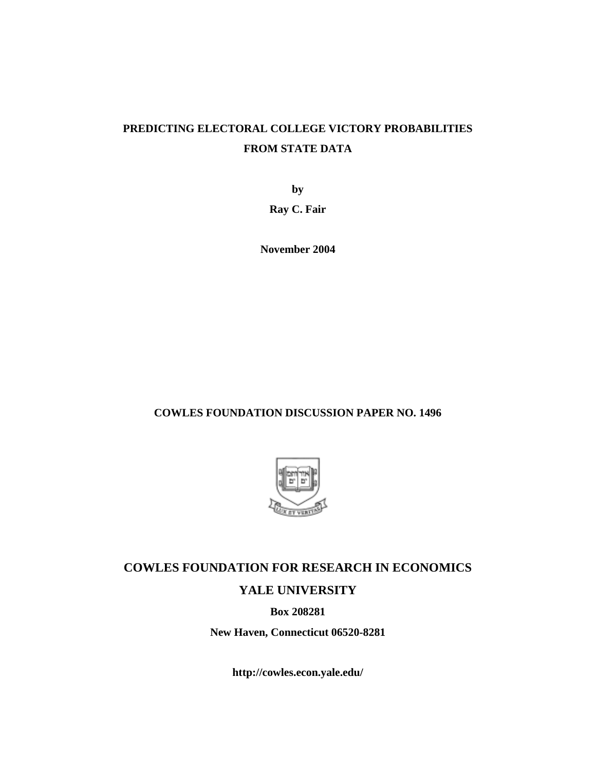## **PREDICTING ELECTORAL COLLEGE VICTORY PROBABILITIES FROM STATE DATA**

**by** 

**Ray C. Fair** 

**November 2004** 

**COWLES FOUNDATION DISCUSSION PAPER NO. 1496** 



## **COWLES FOUNDATION FOR RESEARCH IN ECONOMICS YALE UNIVERSITY**

**Box 208281** 

**New Haven, Connecticut 06520-8281** 

**http://cowles.econ.yale.edu/**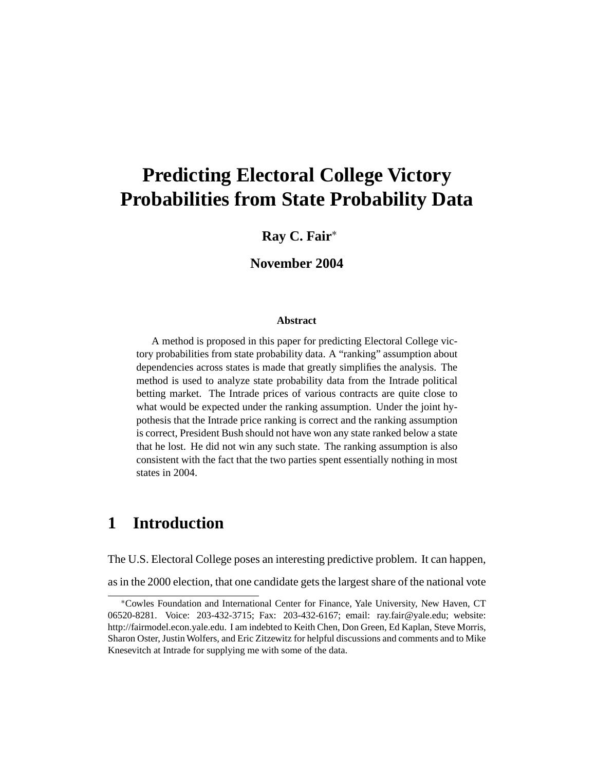# **Predicting Electoral College Victory Probabilities from State Probability Data**

### **Ray C. Fair**<sup>∗</sup>

### **November 2004**

#### **Abstract**

A method is proposed in this paper for predicting Electoral College victory probabilities from state probability data. A "ranking" assumption about dependencies across states is made that greatly simplifies the analysis. The method is used to analyze state probability data from the Intrade political betting market. The Intrade prices of various contracts are quite close to what would be expected under the ranking assumption. Under the joint hypothesis that the Intrade price ranking is correct and the ranking assumption is correct, President Bush should not have won any state ranked below a state that he lost. He did not win any such state. The ranking assumption is also consistent with the fact that the two parties spent essentially nothing in most states in 2004.

## **1 Introduction**

The U.S. Electoral College poses an interesting predictive problem. It can happen,

as in the 2000 election, that one candidate gets the largest share of the national vote

<sup>∗</sup>Cowles Foundation and International Center for Finance, Yale University, New Haven, CT 06520-8281. Voice: 203-432-3715; Fax: 203-432-6167; email: ray.fair@yale.edu; website: http://fairmodel.econ.yale.edu. I am indebted to Keith Chen, Don Green, Ed Kaplan, Steve Morris, Sharon Oster, Justin Wolfers, and Eric Zitzewitz for helpful discussions and comments and to Mike Knesevitch at Intrade for supplying me with some of the data.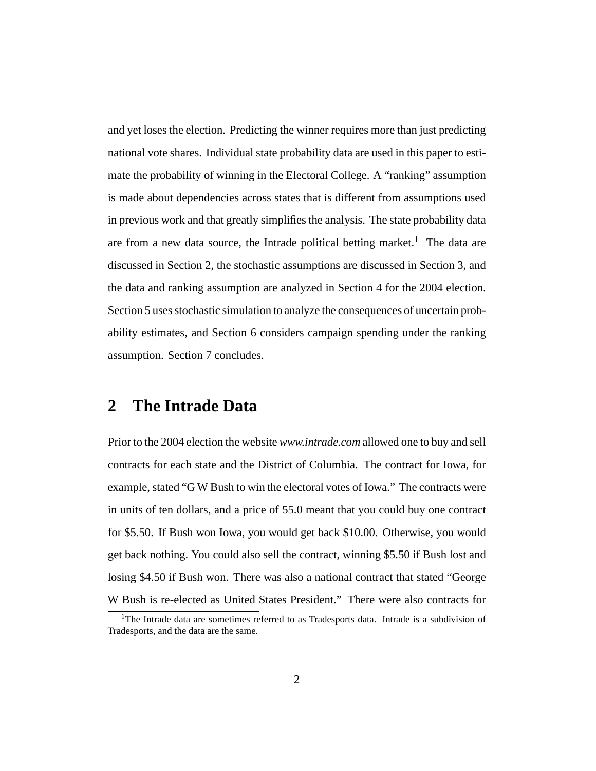and yet loses the election. Predicting the winner requires more than just predicting national vote shares. Individual state probability data are used in this paper to estimate the probability of winning in the Electoral College. A "ranking" assumption is made about dependencies across states that is different from assumptions used in previous work and that greatly simplifies the analysis. The state probability data are from a new data source, the Intrade political betting market.<sup>1</sup> The data are discussed in Section 2, the stochastic assumptions are discussed in Section 3, and the data and ranking assumption are analyzed in Section 4 for the 2004 election. Section 5 uses stochastic simulation to analyze the consequences of uncertain probability estimates, and Section 6 considers campaign spending under the ranking assumption. Section 7 concludes.

### **2 The Intrade Data**

Prior to the 2004 election the website *www.intrade.com* allowed one to buy and sell contracts for each state and the District of Columbia. The contract for Iowa, for example, stated "G W Bush to win the electoral votes of Iowa." The contracts were in units of ten dollars, and a price of 55.0 meant that you could buy one contract for \$5.50. If Bush won Iowa, you would get back \$10.00. Otherwise, you would get back nothing. You could also sell the contract, winning \$5.50 if Bush lost and losing \$4.50 if Bush won. There was also a national contract that stated "George W Bush is re-elected as United States President." There were also contracts for

<sup>&</sup>lt;sup>1</sup>The Intrade data are sometimes referred to as Tradesports data. Intrade is a subdivision of Tradesports, and the data are the same.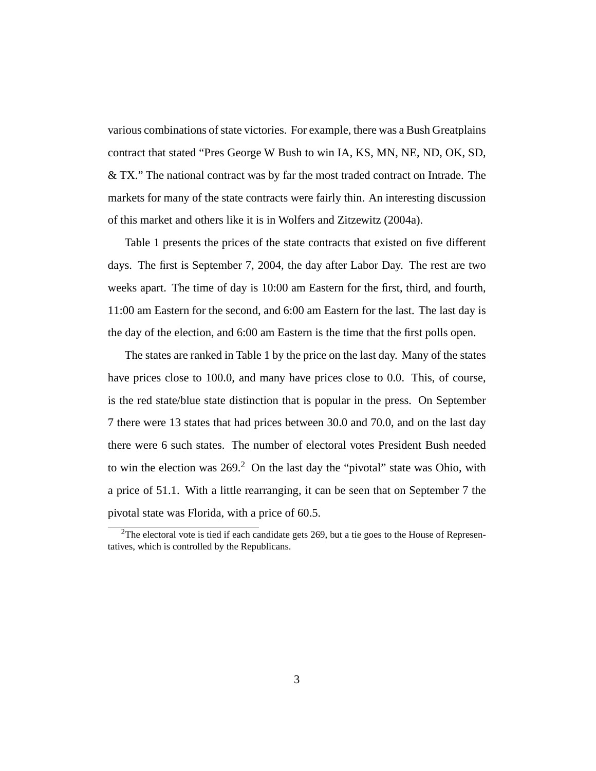various combinations of state victories. For example, there was a Bush Greatplains contract that stated "Pres George W Bush to win IA, KS, MN, NE, ND, OK, SD, & TX." The national contract was by far the most traded contract on Intrade. The markets for many of the state contracts were fairly thin. An interesting discussion of this market and others like it is in Wolfers and Zitzewitz (2004a).

Table 1 presents the prices of the state contracts that existed on five different days. The first is September 7, 2004, the day after Labor Day. The rest are two weeks apart. The time of day is 10:00 am Eastern for the first, third, and fourth, 11:00 am Eastern for the second, and 6:00 am Eastern for the last. The last day is the day of the election, and 6:00 am Eastern is the time that the first polls open.

The states are ranked in Table 1 by the price on the last day. Many of the states have prices close to 100.0, and many have prices close to 0.0. This, of course, is the red state/blue state distinction that is popular in the press. On September 7 there were 13 states that had prices between 30.0 and 70.0, and on the last day there were 6 such states. The number of electoral votes President Bush needed to win the election was  $269<sup>2</sup>$  On the last day the "pivotal" state was Ohio, with a price of 51.1. With a little rearranging, it can be seen that on September 7 the pivotal state was Florida, with a price of 60.5.

<sup>&</sup>lt;sup>2</sup>The electoral vote is tied if each candidate gets 269, but a tie goes to the House of Representatives, which is controlled by the Republicans.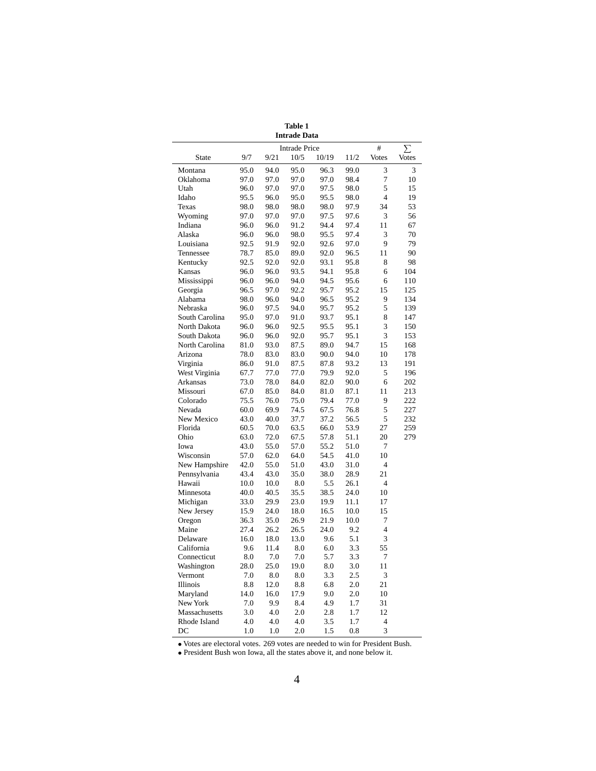|                |      |      | <b>Intrade Data</b>  |       |      |                |              |
|----------------|------|------|----------------------|-------|------|----------------|--------------|
|                |      |      | <b>Intrade Price</b> |       |      | #              | Σ            |
| <b>State</b>   | 9/7  | 9/21 | 10/5                 | 10/19 | 11/2 | <b>Votes</b>   | <b>Votes</b> |
| Montana        | 95.0 | 94.0 | 95.0                 | 96.3  | 99.0 | 3              | 3            |
| Oklahoma       | 97.0 | 97.0 | 97.0                 | 97.0  | 98.4 | $\tau$         | 10           |
| Utah           | 96.0 | 97.0 | 97.0                 | 97.5  | 98.0 | 5              | 15           |
| Idaho          | 95.5 | 96.0 | 95.0                 | 95.5  | 98.0 | $\overline{4}$ | 19           |
| Texas          | 98.0 | 98.0 | 98.0                 | 98.0  | 97.9 | 34             | 53           |
| Wyoming        | 97.0 | 97.0 | 97.0                 | 97.5  | 97.6 | 3              | 56           |
| Indiana        | 96.0 | 96.0 | 91.2                 | 94.4  | 97.4 | 11             | 67           |
| Alaska         | 96.0 | 96.0 | 98.0                 | 95.5  | 97.4 | 3              | 70           |
| Louisiana      | 92.5 | 91.9 | 92.0                 | 92.6  | 97.0 | 9              | 79           |
| Tennessee      | 78.7 | 85.0 | 89.0                 | 92.0  | 96.5 | 11             | 90           |
| Kentucky       | 92.5 | 92.0 | 92.0                 | 93.1  | 95.8 | 8              | 98           |
| Kansas         | 96.0 | 96.0 | 93.5                 | 94.1  | 95.8 | 6              | 104          |
| Mississippi    | 96.0 | 96.0 | 94.0                 | 94.5  | 95.6 | 6              | 110          |
| Georgia        | 96.5 | 97.0 | 92.2                 | 95.7  | 95.2 | 15             | 125          |
| Alabama        | 98.0 | 96.0 | 94.0                 | 96.5  | 95.2 | 9              | 134          |
| Nebraska       | 96.0 | 97.5 | 94.0                 | 95.7  | 95.2 | 5              | 139          |
| South Carolina | 95.0 | 97.0 | 91.0                 | 93.7  | 95.1 | 8              | 147          |
| North Dakota   | 96.0 | 96.0 | 92.5                 | 95.5  | 95.1 | 3              | 150          |
| South Dakota   | 96.0 | 96.0 | 92.0                 | 95.7  | 95.1 | 3              | 153          |
| North Carolina | 81.0 | 93.0 | 87.5                 | 89.0  | 94.7 | 15             | 168          |
| Arizona        | 78.0 | 83.0 | 83.0                 | 90.0  | 94.0 | 10             | 178          |
| Virginia       | 86.0 | 91.0 | 87.5                 | 87.8  | 93.2 | 13             | 191          |
| West Virginia  | 67.7 | 77.0 | 77.0                 | 79.9  | 92.0 | 5              | 196          |
| Arkansas       | 73.0 | 78.0 | 84.0                 | 82.0  | 90.0 | 6              | 202          |
| Missouri       | 67.0 | 85.0 | 84.0                 | 81.0  | 87.1 | 11             | 213          |
| Colorado       | 75.5 | 76.0 | 75.0                 | 79.4  | 77.0 | 9              | 222          |
| Nevada         | 60.0 | 69.9 | 74.5                 | 67.5  | 76.8 | 5              | 227          |
| New Mexico     | 43.0 | 40.0 | 37.7                 | 37.2  | 56.5 | 5              | 232          |
| Florida        | 60.5 | 70.0 | 63.5                 | 66.0  | 53.9 | 27             | 259          |
| Ohio           | 63.0 | 72.0 | 67.5                 | 57.8  | 51.1 | 20             | 279          |
| Iowa           | 43.0 | 55.0 | 57.0                 | 55.2  | 51.0 | 7              |              |
| Wisconsin      | 57.0 | 62.0 | 64.0                 | 54.5  | 41.0 | 10             |              |
| New Hampshire  | 42.0 | 55.0 | 51.0                 | 43.0  | 31.0 | $\overline{4}$ |              |
| Pennsylvania   | 43.4 | 43.0 | 35.0                 | 38.0  | 28.9 | 21             |              |
| Hawaii         | 10.0 | 10.0 | 8.0                  | 5.5   | 26.1 | $\overline{4}$ |              |
| Minnesota      | 40.0 | 40.5 | 35.5                 | 38.5  | 24.0 | 10             |              |
| Michigan       | 33.0 | 29.9 | 23.0                 | 19.9  | 11.1 | 17             |              |
| New Jersey     | 15.9 | 24.0 | 18.0                 | 16.5  | 10.0 | 15             |              |
| Oregon         | 36.3 | 35.0 | 26.9                 | 21.9  | 10.0 | 7              |              |
| Maine          | 27.4 | 26.2 | 26.5                 | 24.0  | 9.2  | $\overline{4}$ |              |
| Delaware       | 16.0 | 18.0 | 13.0                 | 9.6   | 5.1  | 3              |              |
| California     | 9.6  | 11.4 | 8.0                  | 6.0   | 3.3  | 55             |              |
| Connecticut    | 8.0  | 7.0  | 7.0                  | 5.7   | 3.3  | 7              |              |
| Washington     | 28.0 | 25.0 | 19.0                 | 8.0   | 3.0  | 11             |              |
| Vermont        | 7.0  | 8.0  | 8.0                  | 3.3   | 2.5  | 3              |              |
| Illinois       | 8.8  | 12.0 | 8.8                  | 6.8   | 2.0  | 21             |              |
| Maryland       | 14.0 | 16.0 | 17.9                 | 9.0   | 2.0  | 10             |              |
| New York       | 7.0  | 9.9  | 8.4                  | 4.9   | 1.7  | 31             |              |
| Massachusetts  | 3.0  | 4.0  | 2.0                  | 2.8   | 1.7  | 12             |              |
| Rhode Island   | 4.0  | 4.0  | 4.0                  | 3.5   | 1.7  | $\overline{4}$ |              |
| DC             | 1.0  | 1.0  | 2.0                  | 1.5   | 0.8  | 3              |              |

**Table 1**

• Votes are electoral votes. 269 votes are needed to win for President Bush.

• President Bush won Iowa, all the states above it, and none below it.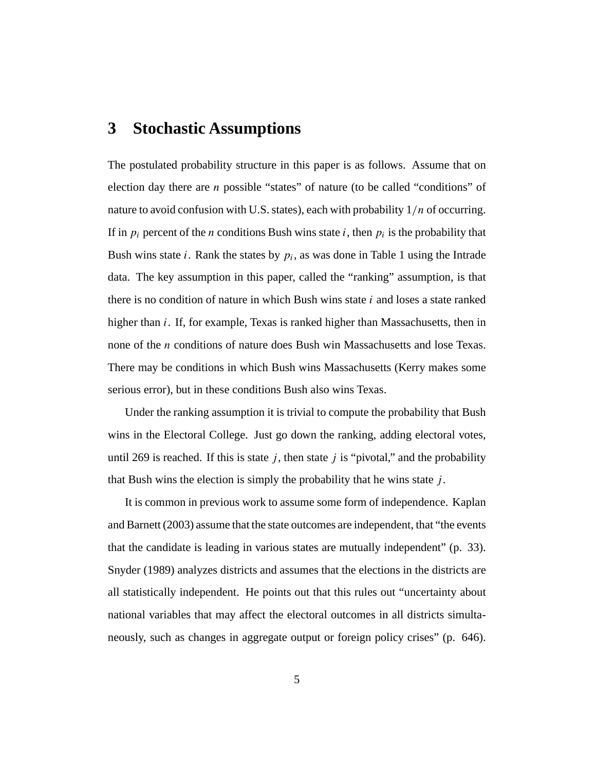## **3 Stochastic Assumptions**

The postulated probability structure in this paper is as follows. Assume that on election day there are n possible "states" of nature (to be called "conditions" of nature to avoid confusion with U.S. states), each with probability  $1/n$  of occurring. If in  $p_i$  percent of the *n* conditions Bush wins state *i*, then  $p_i$  is the probability that Bush wins state *i*. Rank the states by  $p_i$ , as was done in Table 1 using the Intrade data. The key assumption in this paper, called the "ranking" assumption, is that there is no condition of nature in which Bush wins state  $i$  and loses a state ranked higher than *i*. If, for example, Texas is ranked higher than Massachusetts, then in none of the n conditions of nature does Bush win Massachusetts and lose Texas. There may be conditions in which Bush wins Massachusetts (Kerry makes some serious error), but in these conditions Bush also wins Texas.

Under the ranking assumption it is trivial to compute the probability that Bush wins in the Electoral College. Just go down the ranking, adding electoral votes, until 269 is reached. If this is state  $j$ , then state j is "pivotal," and the probability that Bush wins the election is simply the probability that he wins state  $j$ .

It is common in previous work to assume some form of independence. Kaplan and Barnett (2003) assume that the state outcomes are independent, that "the events that the candidate is leading in various states are mutually independent" (p. 33). Snyder (1989) analyzes districts and assumes that the elections in the districts are all statistically independent. He points out that this rules out "uncertainty about national variables that may affect the electoral outcomes in all districts simultaneously, such as changes in aggregate output or foreign policy crises" (p. 646).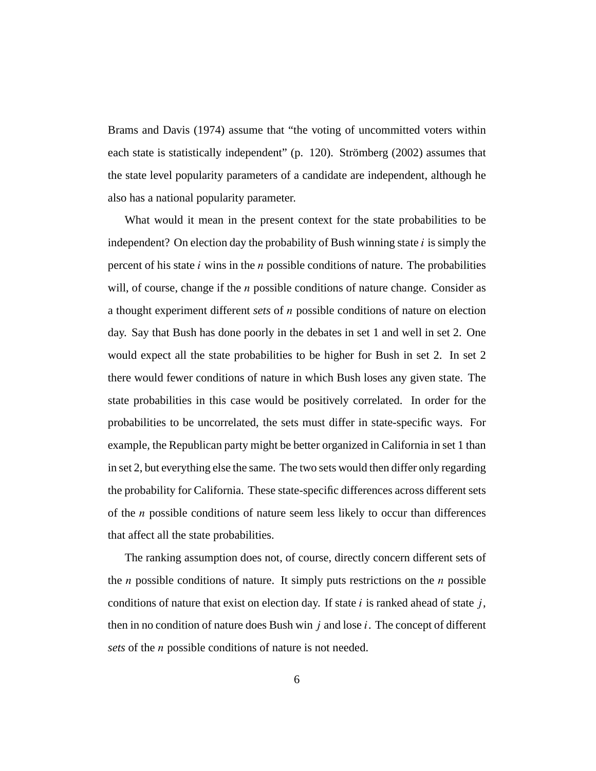Brams and Davis (1974) assume that "the voting of uncommitted voters within each state is statistically independent" (p. 120). Strömberg (2002) assumes that the state level popularity parameters of a candidate are independent, although he also has a national popularity parameter.

What would it mean in the present context for the state probabilities to be independent? On election day the probability of Bush winning state  $i$  is simply the percent of his state  $i$  wins in the  $n$  possible conditions of nature. The probabilities will, of course, change if the  $n$  possible conditions of nature change. Consider as a thought experiment different *sets* of n possible conditions of nature on election day. Say that Bush has done poorly in the debates in set 1 and well in set 2. One would expect all the state probabilities to be higher for Bush in set 2. In set 2 there would fewer conditions of nature in which Bush loses any given state. The state probabilities in this case would be positively correlated. In order for the probabilities to be uncorrelated, the sets must differ in state-specific ways. For example, the Republican party might be better organized in California in set 1 than in set 2, but everything else the same. The two sets would then differ only regarding the probability for California. These state-specific differences across different sets of the  $n$  possible conditions of nature seem less likely to occur than differences that affect all the state probabilities.

The ranking assumption does not, of course, directly concern different sets of the *n* possible conditions of nature. It simply puts restrictions on the *n* possible conditions of nature that exist on election day. If state i is ranked ahead of state j, then in no condition of nature does Bush win  $j$  and lose  $i$ . The concept of different *sets* of the *n* possible conditions of nature is not needed.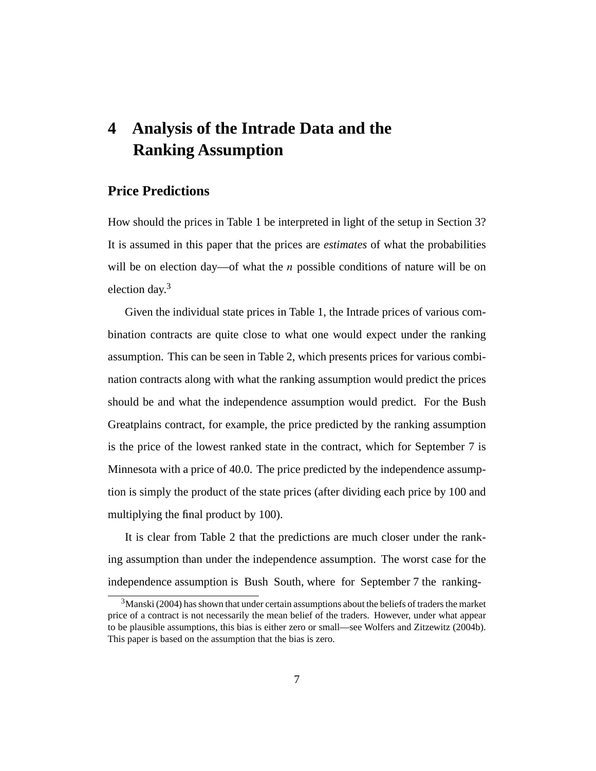## **4 Analysis of the Intrade Data and the Ranking Assumption**

### **Price Predictions**

How should the prices in Table 1 be interpreted in light of the setup in Section 3? It is assumed in this paper that the prices are *estimates* of what the probabilities will be on election day—of what the  $n$  possible conditions of nature will be on election day.3

Given the individual state prices in Table 1, the Intrade prices of various combination contracts are quite close to what one would expect under the ranking assumption. This can be seen in Table 2, which presents prices for various combination contracts along with what the ranking assumption would predict the prices should be and what the independence assumption would predict. For the Bush Greatplains contract, for example, the price predicted by the ranking assumption is the price of the lowest ranked state in the contract, which for September 7 is Minnesota with a price of 40.0. The price predicted by the independence assumption is simply the product of the state prices (after dividing each price by 100 and multiplying the final product by 100).

It is clear from Table 2 that the predictions are much closer under the ranking assumption than under the independence assumption. The worst case for the independence assumption is Bush South, where for September 7 the ranking-

 $3$ Manski (2004) has shown that under certain assumptions about the beliefs of traders the market price of a contract is not necessarily the mean belief of the traders. However, under what appear to be plausible assumptions, this bias is either zero or small—see Wolfers and Zitzewitz (2004b). This paper is based on the assumption that the bias is zero.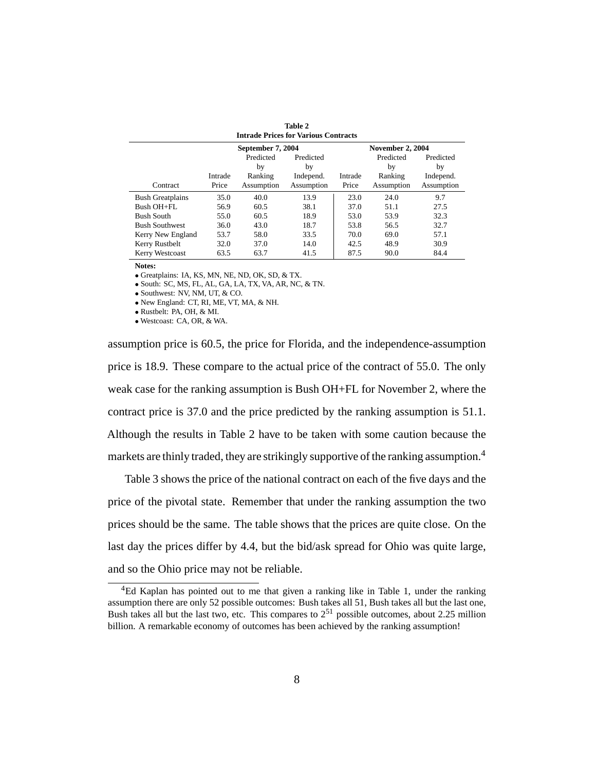| Table 2<br><b>Intrade Prices for Various Contracts</b> |                  |                                          |                                            |                  |                                          |                                            |
|--------------------------------------------------------|------------------|------------------------------------------|--------------------------------------------|------------------|------------------------------------------|--------------------------------------------|
|                                                        |                  | September 7, 2004                        |                                            |                  | <b>November 2, 2004</b>                  |                                            |
| Contract                                               | Intrade<br>Price | Predicted<br>by<br>Ranking<br>Assumption | Predicted<br>by<br>Independ.<br>Assumption | Intrade<br>Price | Predicted<br>by<br>Ranking<br>Assumption | Predicted<br>by<br>Independ.<br>Assumption |
| <b>Bush Greatplains</b>                                | 35.0             | 40.0                                     | 13.9                                       | 23.0             | 24.0                                     | 9.7                                        |
| Bush OH+FL                                             | 56.9             | 60.5                                     | 38.1                                       | 37.0             | 51.1                                     | 27.5                                       |
| <b>Bush South</b>                                      | 55.0             | 60.5                                     | 18.9                                       | 53.0             | 53.9                                     | 32.3                                       |
| <b>Bush Southwest</b>                                  | 36.0             | 43.0                                     | 18.7                                       | 53.8             | 56.5                                     | 32.7                                       |
| Kerry New England                                      | 53.7             | 58.0                                     | 33.5                                       | 70.0             | 69.0                                     | 57.1                                       |
| Kerry Rustbelt                                         | 32.0             | 37.0                                     | 14.0                                       | 42.5             | 48.9                                     | 30.9                                       |
| Kerry Westcoast                                        | 63.5             | 63.7                                     | 41.5                                       | 87.5             | 90.0                                     | 84.4                                       |

**Notes:**

• Greatplains: IA, KS, MN, NE, ND, OK, SD, & TX.

• South: SC, MS, FL, AL, GA, LA, TX, VA, AR, NC, & TN.

• Southwest: NV, NM, UT, & CO.

• New England: CT, RI, ME, VT, MA, & NH.

• Rustbelt: PA, OH, & MI.

• Westcoast: CA, OR, & WA.

assumption price is 60.5, the price for Florida, and the independence-assumption price is 18.9. These compare to the actual price of the contract of 55.0. The only weak case for the ranking assumption is Bush OH+FL for November 2, where the contract price is 37.0 and the price predicted by the ranking assumption is 51.1. Although the results in Table 2 have to be taken with some caution because the markets are thinly traded, they are strikingly supportive of the ranking assumption.<sup>4</sup>

Table 3 shows the price of the national contract on each of the five days and the price of the pivotal state. Remember that under the ranking assumption the two prices should be the same. The table shows that the prices are quite close. On the last day the prices differ by 4.4, but the bid/ask spread for Ohio was quite large, and so the Ohio price may not be reliable.

<sup>&</sup>lt;sup>4</sup>Ed Kaplan has pointed out to me that given a ranking like in Table 1, under the ranking assumption there are only 52 possible outcomes: Bush takes all 51, Bush takes all but the last one, Bush takes all but the last two, etc. This compares to  $2^{51}$  possible outcomes, about 2.25 million billion. A remarkable economy of outcomes has been achieved by the ranking assumption!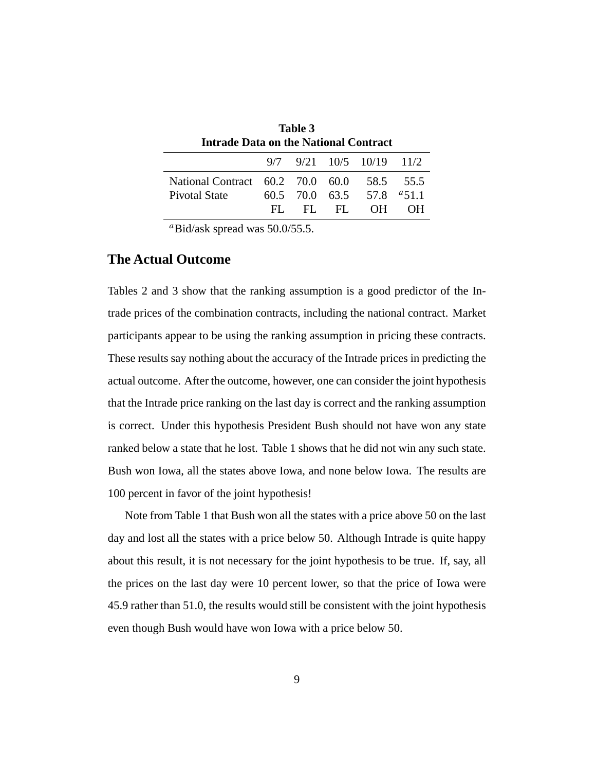| Table 3<br><b>Intrade Data on the National Contract</b> |     |     |     |                                    |           |
|---------------------------------------------------------|-----|-----|-----|------------------------------------|-----------|
|                                                         |     |     |     |                                    |           |
|                                                         |     |     |     | $9/7$ $9/21$ $10/5$ $10/19$ $11/2$ |           |
| National Contract 60.2 70.0 60.0                        |     |     |     |                                    | 58.5 55.5 |
| Pivotal State                                           |     |     |     | $60.5$ 70.0 $63.5$ 57.8 $9.51.1$   |           |
|                                                         | HL. | HL. | FL. | OH.                                | 0.H       |

 $aBid/ask$  spread was 50.0/55.5.

### **The Actual Outcome**

Tables 2 and 3 show that the ranking assumption is a good predictor of the Intrade prices of the combination contracts, including the national contract. Market participants appear to be using the ranking assumption in pricing these contracts. These results say nothing about the accuracy of the Intrade prices in predicting the actual outcome. After the outcome, however, one can consider the joint hypothesis that the Intrade price ranking on the last day is correct and the ranking assumption is correct. Under this hypothesis President Bush should not have won any state ranked below a state that he lost. Table 1 shows that he did not win any such state. Bush won Iowa, all the states above Iowa, and none below Iowa. The results are 100 percent in favor of the joint hypothesis!

Note from Table 1 that Bush won all the states with a price above 50 on the last day and lost all the states with a price below 50. Although Intrade is quite happy about this result, it is not necessary for the joint hypothesis to be true. If, say, all the prices on the last day were 10 percent lower, so that the price of Iowa were 45.9 rather than 51.0, the results would still be consistent with the joint hypothesis even though Bush would have won Iowa with a price below 50.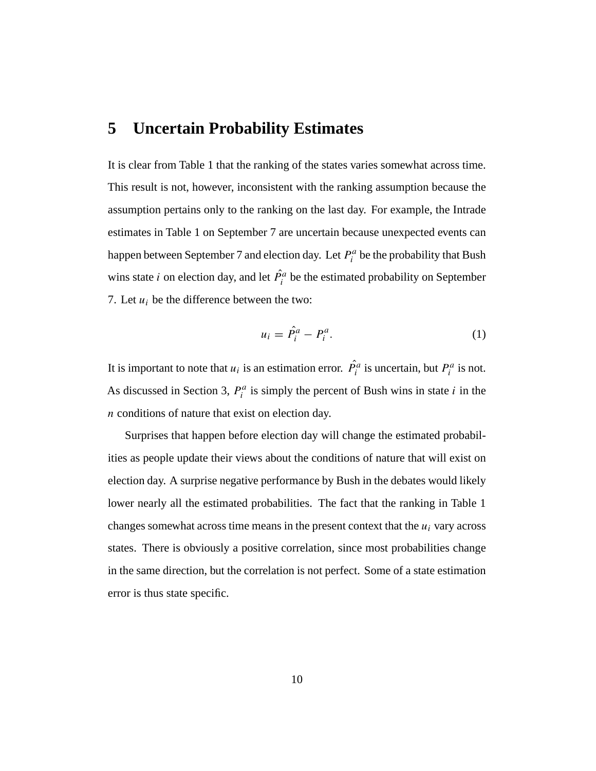## **5 Uncertain Probability Estimates**

It is clear from Table 1 that the ranking of the states varies somewhat across time. This result is not, however, inconsistent with the ranking assumption because the assumption pertains only to the ranking on the last day. For example, the Intrade estimates in Table 1 on September 7 are uncertain because unexpected events can happen between September 7 and election day. Let  $P_i^a$  be the probability that Bush wins state *i* on election day, and let  $\hat{P}_i^a$  be the estimated probability on September 7. Let  $u_i$  be the difference between the two:

$$
u_i = \hat{P}_i^a - P_i^a. \tag{1}
$$

It is important to note that  $u_i$  is an estimation error.  $\hat{P}_i^a$  is uncertain, but  $P_i^a$  is not. As discussed in Section 3,  $P_i^a$  is simply the percent of Bush wins in state i in the n conditions of nature that exist on election day.

Surprises that happen before election day will change the estimated probabilities as people update their views about the conditions of nature that will exist on election day. A surprise negative performance by Bush in the debates would likely lower nearly all the estimated probabilities. The fact that the ranking in Table 1 changes somewhat across time means in the present context that the  $u_i$  vary across states. There is obviously a positive correlation, since most probabilities change in the same direction, but the correlation is not perfect. Some of a state estimation error is thus state specific.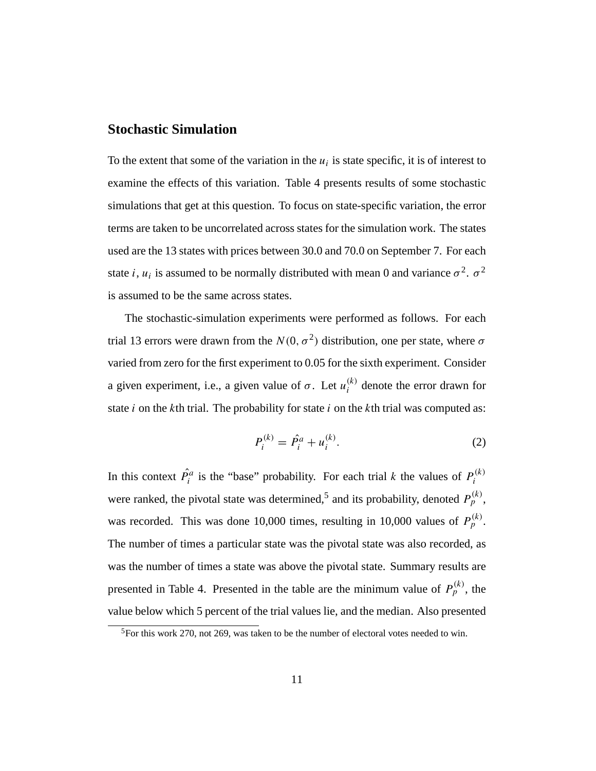### **Stochastic Simulation**

To the extent that some of the variation in the  $u_i$  is state specific, it is of interest to examine the effects of this variation. Table 4 presents results of some stochastic simulations that get at this question. To focus on state-specific variation, the error terms are taken to be uncorrelated across states for the simulation work. The states used are the 13 states with prices between 30.0 and 70.0 on September 7. For each state i,  $u_i$  is assumed to be normally distributed with mean 0 and variance  $\sigma^2$ .  $\sigma^2$ is assumed to be the same across states.

The stochastic-simulation experiments were performed as follows. For each trial 13 errors were drawn from the  $N(0, \sigma^2)$  distribution, one per state, where  $\sigma$ varied from zero for the first experiment to 0.05 for the sixth experiment. Consider a given experiment, i.e., a given value of  $\sigma$ . Let  $u_i^{(k)}$  denote the error drawn for state  $i$  on the kth trial. The probability for state  $i$  on the kth trial was computed as:

$$
P_i^{(k)} = \hat{P}_i^a + u_i^{(k)}.
$$
 (2)

In this context  $\hat{P}_i^a$  is the "base" probability. For each trial k the values of  $P_i^{(k)}$ were ranked, the pivotal state was determined,<sup>5</sup> and its probability, denoted  $P_p^{(k)}$ , was recorded. This was done 10,000 times, resulting in 10,000 values of  $P_p^{(k)}$ . The number of times a particular state was the pivotal state was also recorded, as was the number of times a state was above the pivotal state. Summary results are presented in Table 4. Presented in the table are the minimum value of  $P_p^{(k)}$ , the value below which 5 percent of the trial values lie, and the median. Also presented

<sup>&</sup>lt;sup>5</sup>For this work 270, not 269, was taken to be the number of electoral votes needed to win.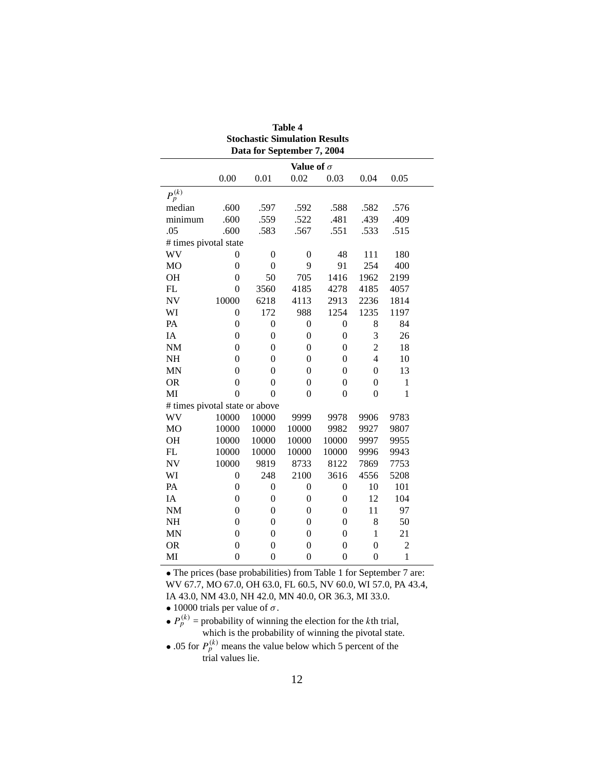| <b>Stochastic Simulation Results</b><br>Data for September 7, 2004 |                   |                  |                  |                  |                |                |  |  |  |
|--------------------------------------------------------------------|-------------------|------------------|------------------|------------------|----------------|----------------|--|--|--|
|                                                                    | Value of $\sigma$ |                  |                  |                  |                |                |  |  |  |
|                                                                    | 0.00              | 0.01             | 0.02             | 0.03             | 0.04           | 0.05           |  |  |  |
| $P_p^{(k)}$                                                        |                   |                  |                  |                  |                |                |  |  |  |
| median                                                             | .600              | .597             | .592             | .588             | .582           | .576           |  |  |  |
| minimum                                                            | .600              | .559             | .522             | .481             | .439           | .409           |  |  |  |
| .05                                                                | .600              | .583             | .567             | .551             | .533           | .515           |  |  |  |
| # times pivotal state                                              |                   |                  |                  |                  |                |                |  |  |  |
| WV                                                                 | 0                 | $\overline{0}$   | $\mathbf{0}$     | 48               | 111            | 180            |  |  |  |
| <b>MO</b>                                                          | $\overline{0}$    | $\boldsymbol{0}$ | 9                | 91               | 254            | 400            |  |  |  |
| OH                                                                 | $\overline{0}$    | 50               | 705              | 1416             | 1962           | 2199           |  |  |  |
| FL                                                                 | $\theta$          | 3560             | 4185             | 4278             | 4185           | 4057           |  |  |  |
| <b>NV</b>                                                          | 10000             | 6218             | 4113             | 2913             | 2236           | 1814           |  |  |  |
| WI                                                                 | $\overline{0}$    | 172              | 988              | 1254             | 1235           | 1197           |  |  |  |
| PA                                                                 | $\overline{0}$    | $\boldsymbol{0}$ | $\boldsymbol{0}$ | $\boldsymbol{0}$ | 8              | 84             |  |  |  |
| IA                                                                 | $\theta$          | $\boldsymbol{0}$ | $\overline{0}$   | $\overline{0}$   | 3              | 26             |  |  |  |
| NM                                                                 | $\mathbf{0}$      | $\boldsymbol{0}$ | $\overline{0}$   | $\mathbf{0}$     | $\overline{c}$ | 18             |  |  |  |
| <b>NH</b>                                                          | $\theta$          | $\theta$         | $\theta$         | $\theta$         | $\overline{4}$ | 10             |  |  |  |
| <b>MN</b>                                                          | $\theta$          | $\theta$         | $\overline{0}$   | $\mathbf{0}$     | $\overline{0}$ | 13             |  |  |  |
| <b>OR</b>                                                          | $\theta$          | $\theta$         | $\overline{0}$   | $\overline{0}$   | $\theta$       | $\mathbf{1}$   |  |  |  |
| MI                                                                 | $\overline{0}$    | $\theta$         | $\overline{0}$   | $\boldsymbol{0}$ | $\mathbf{0}$   | $\mathbf{1}$   |  |  |  |
| # times pivotal state or above                                     |                   |                  |                  |                  |                |                |  |  |  |
| WV                                                                 | 10000             | 10000            | 9999             | 9978             | 9906           | 9783           |  |  |  |
| <b>MO</b>                                                          | 10000             | 10000            | 10000            | 9982             | 9927           | 9807           |  |  |  |
| OH                                                                 | 10000             | 10000            | 10000            | 10000            | 9997           | 9955           |  |  |  |
| FL                                                                 | 10000             | 10000            | 10000            | 10000            | 9996           | 9943           |  |  |  |
| <b>NV</b>                                                          | 10000             | 9819             | 8733             | 8122             | 7869           | 7753           |  |  |  |
| WI                                                                 | $\theta$          | 248              | 2100             | 3616             | 4556           | 5208           |  |  |  |
| PA                                                                 | $\mathbf{0}$      | $\boldsymbol{0}$ | 0                | $\boldsymbol{0}$ | 10             | 101            |  |  |  |
| IA                                                                 | $\overline{0}$    | $\overline{0}$   | 0                | $\boldsymbol{0}$ | 12             | 104            |  |  |  |
| $\rm{NM}$                                                          | $\mathbf{0}$      | $\boldsymbol{0}$ | $\overline{0}$   | $\boldsymbol{0}$ | 11             | 97             |  |  |  |
| NH                                                                 | $\overline{0}$    | $\overline{0}$   | $\overline{0}$   | $\overline{0}$   | 8              | 50             |  |  |  |
| <b>MN</b>                                                          | $\mathbf{0}$      | $\boldsymbol{0}$ | $\overline{0}$   | $\boldsymbol{0}$ | $\mathbf{1}$   | 21             |  |  |  |
| <b>OR</b>                                                          | $\mathbf{0}$      | $\mathbf{0}$     | $\overline{0}$   | $\mathbf{0}$     | $\theta$       | $\overline{c}$ |  |  |  |
| MI                                                                 | $\overline{0}$    | $\boldsymbol{0}$ | $\boldsymbol{0}$ | $\boldsymbol{0}$ | $\overline{0}$ | $\mathbf{1}$   |  |  |  |

| <b>Table 4</b>                       |  |
|--------------------------------------|--|
| <b>Stochastic Simulation Results</b> |  |
| Data for Sentember 7 2004            |  |

• The prices (base probabilities) from Table 1 for September 7 are: WV 67.7, MO 67.0, OH 63.0, FL 60.5, NV 60.0, WI 57.0, PA 43.4, IA 43.0, NM 43.0, NH 42.0, MN 40.0, OR 36.3, MI 33.0.

• 10000 trials per value of  $\sigma$ .

•  $P_p^{(k)}$  = probability of winning the election for the *k*th trial, which is the probability of winning the pivotal state.

• .05 for  $P_p^{(k)}$  means the value below which 5 percent of the trial values lie.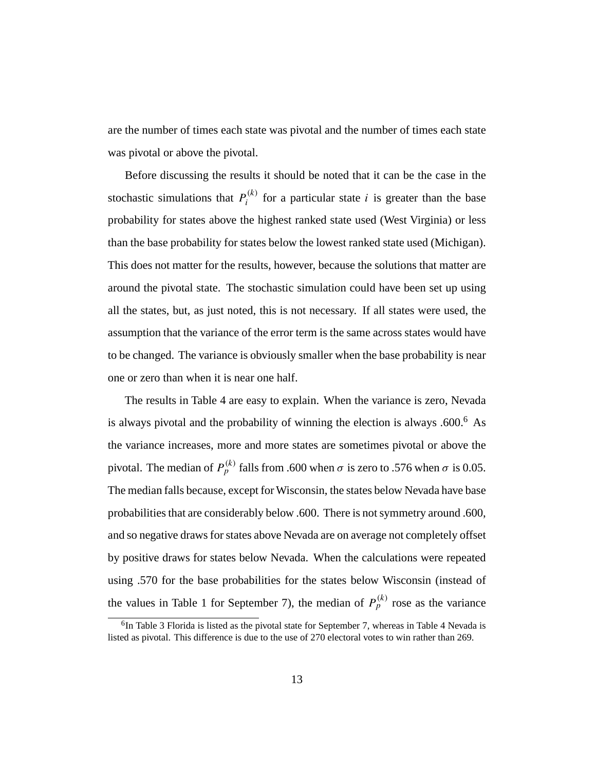are the number of times each state was pivotal and the number of times each state was pivotal or above the pivotal.

Before discussing the results it should be noted that it can be the case in the stochastic simulations that  $P_i^{(k)}$  for a particular state i is greater than the base probability for states above the highest ranked state used (West Virginia) or less than the base probability for states below the lowest ranked state used (Michigan). This does not matter for the results, however, because the solutions that matter are around the pivotal state. The stochastic simulation could have been set up using all the states, but, as just noted, this is not necessary. If all states were used, the assumption that the variance of the error term is the same across states would have to be changed. The variance is obviously smaller when the base probability is near one or zero than when it is near one half.

The results in Table 4 are easy to explain. When the variance is zero, Nevada is always pivotal and the probability of winning the election is always  $.600<sup>6</sup>$  As the variance increases, more and more states are sometimes pivotal or above the pivotal. The median of  $P_p^{(k)}$  falls from .600 when  $\sigma$  is zero to .576 when  $\sigma$  is 0.05. The median falls because, except for Wisconsin, the states below Nevada have base probabilities that are considerably below .600. There is not symmetry around .600, and so negative draws for states above Nevada are on average not completely offset by positive draws for states below Nevada. When the calculations were repeated using .570 for the base probabilities for the states below Wisconsin (instead of the values in Table 1 for September 7), the median of  $P_p^{(k)}$  rose as the variance

<sup>&</sup>lt;sup>6</sup>In Table 3 Florida is listed as the pivotal state for September 7, whereas in Table 4 Nevada is listed as pivotal. This difference is due to the use of 270 electoral votes to win rather than 269.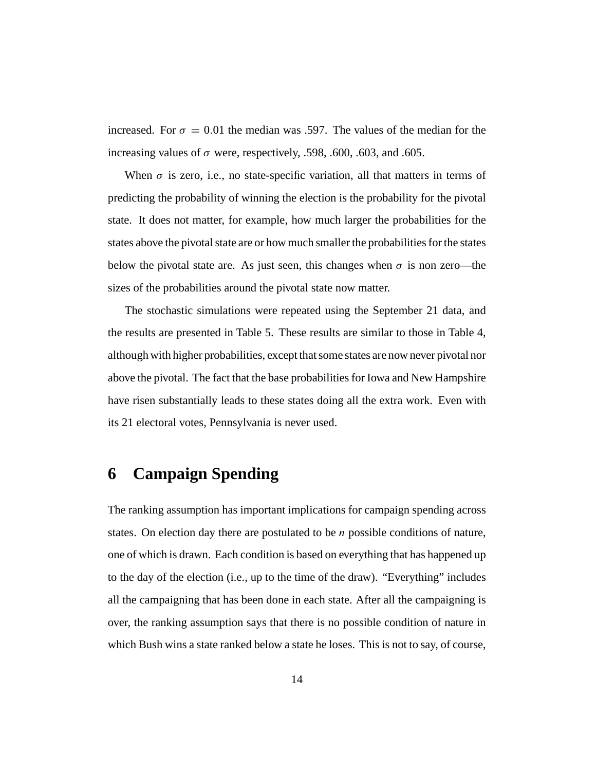increased. For  $\sigma = 0.01$  the median was .597. The values of the median for the increasing values of  $\sigma$  were, respectively, .598, .600, .603, and .605.

When  $\sigma$  is zero, i.e., no state-specific variation, all that matters in terms of predicting the probability of winning the election is the probability for the pivotal state. It does not matter, for example, how much larger the probabilities for the states above the pivotal state are or how much smaller the probabilities for the states below the pivotal state are. As just seen, this changes when  $\sigma$  is non zero—the sizes of the probabilities around the pivotal state now matter.

The stochastic simulations were repeated using the September 21 data, and the results are presented in Table 5. These results are similar to those in Table 4, although with higher probabilities, except that some states are now never pivotal nor above the pivotal. The fact that the base probabilities for Iowa and New Hampshire have risen substantially leads to these states doing all the extra work. Even with its 21 electoral votes, Pennsylvania is never used.

## **6 Campaign Spending**

The ranking assumption has important implications for campaign spending across states. On election day there are postulated to be  $n$  possible conditions of nature, one of which is drawn. Each condition is based on everything that has happened up to the day of the election (i.e., up to the time of the draw). "Everything" includes all the campaigning that has been done in each state. After all the campaigning is over, the ranking assumption says that there is no possible condition of nature in which Bush wins a state ranked below a state he loses. This is not to say, of course,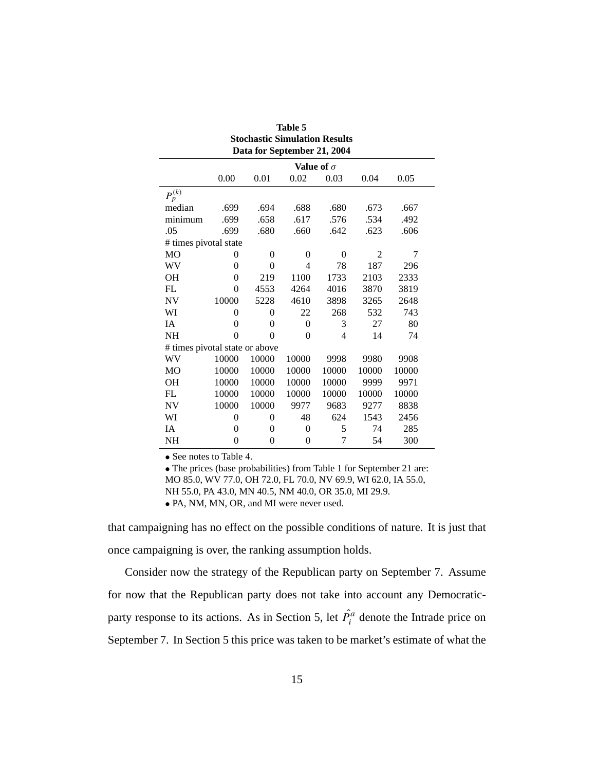| Table 5                              |                             |                |                   |                |                |       |  |
|--------------------------------------|-----------------------------|----------------|-------------------|----------------|----------------|-------|--|
| <b>Stochastic Simulation Results</b> |                             |                |                   |                |                |       |  |
|                                      | Data for September 21, 2004 |                |                   |                |                |       |  |
|                                      |                             |                | Value of $\sigma$ |                |                |       |  |
|                                      | 0.00                        | 0.01           | 0.02              | 0.03           | 0.04           | 0.05  |  |
| $P_p^{(k)}$                          |                             |                |                   |                |                |       |  |
| median                               | .699                        | .694           | .688              | .680           | .673           | .667  |  |
| minimum                              | .699                        | .658           | .617              | .576           | .534           | .492  |  |
| .05                                  | .699                        | .680           | .660              | .642           | .623           | .606  |  |
| # times pivotal state                |                             |                |                   |                |                |       |  |
| M <sub>O</sub>                       | 0                           | $\theta$       | $\theta$          | $\theta$       | $\overline{2}$ | 7     |  |
| WV                                   | $\theta$                    | $\Omega$       | 4                 | 78             | 187            | 296   |  |
| <b>OH</b>                            | $\theta$                    | 219            | 1100              | 1733           | 2103           | 2333  |  |
| FL.                                  | $\Omega$                    | 4553           | 4264              | 4016           | 3870           | 3819  |  |
| NV                                   | 10000                       | 5228           | 4610              | 3898           | 3265           | 2648  |  |
| WI                                   | 0                           | $\theta$       | 22                | 268            | 532            | 743   |  |
| <b>IA</b>                            | 0                           | 0              | 0                 | 3              | 27             | 80    |  |
| <b>NH</b>                            | $\theta$                    | $\Omega$       | $\theta$          | $\overline{4}$ | 14             | 74    |  |
| # times pivotal state or above       |                             |                |                   |                |                |       |  |
| WV                                   | 10000                       | 10000          | 10000             | 9998           | 9980           | 9908  |  |
| <b>MO</b>                            | 10000                       | 10000          | 10000             | 10000          | 10000          | 10000 |  |
| <b>OH</b>                            | 10000                       | 10000          | 10000             | 10000          | 9999           | 9971  |  |
| FL                                   | 10000                       | 10000          | 10000             | 10000          | 10000          | 10000 |  |
| NV                                   | 10000                       | 10000          | 9977              | 9683           | 9277           | 8838  |  |
| WI                                   | 0                           | $\overline{0}$ | 48                | 624            | 1543           | 2456  |  |
| IΑ                                   | $\theta$                    | $\theta$       | $\overline{0}$    | 5              | 74             | 285   |  |
| NH                                   | 0                           | 0              | 0                 | 7              | 54             | 300   |  |

|  |  | $\bullet$ See notes to Table 4. |
|--|--|---------------------------------|

• The prices (base probabilities) from Table 1 for September 21 are: MO 85.0, WV 77.0, OH 72.0, FL 70.0, NV 69.9, WI 62.0, IA 55.0, NH 55.0, PA 43.0, MN 40.5, NM 40.0, OR 35.0, MI 29.9.

• PA, NM, MN, OR, and MI were never used.

that campaigning has no effect on the possible conditions of nature. It is just that once campaigning is over, the ranking assumption holds.

Consider now the strategy of the Republican party on September 7. Assume for now that the Republican party does not take into account any Democraticparty response to its actions. As in Section 5, let  $\hat{P}_i^a$  denote the Intrade price on September 7. In Section 5 this price was taken to be market's estimate of what the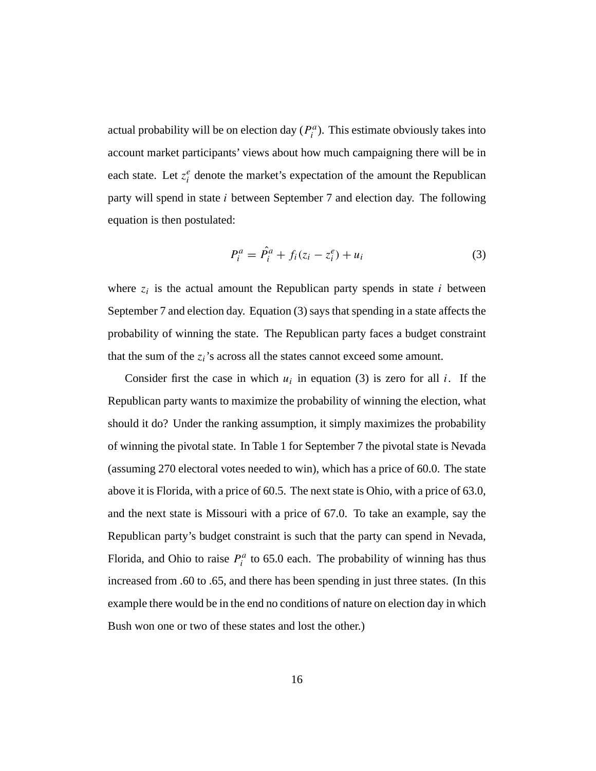actual probability will be on election day  $(P_i^a)$ . This estimate obviously takes into account market participants' views about how much campaigning there will be in each state. Let  $z_i^e$  denote the market's expectation of the amount the Republican party will spend in state i between September 7 and election day. The following equation is then postulated:

$$
P_i^a = \hat{P}_i^a + f_i(z_i - z_i^e) + u_i \tag{3}
$$

where  $z_i$  is the actual amount the Republican party spends in state i between September 7 and election day. Equation (3) says that spending in a state affects the probability of winning the state. The Republican party faces a budget constraint that the sum of the  $z_i$ 's across all the states cannot exceed some amount.

Consider first the case in which  $u_i$  in equation (3) is zero for all i. If the Republican party wants to maximize the probability of winning the election, what should it do? Under the ranking assumption, it simply maximizes the probability of winning the pivotal state. In Table 1 for September 7 the pivotal state is Nevada (assuming 270 electoral votes needed to win), which has a price of 60.0. The state above it is Florida, with a price of 60.5. The next state is Ohio, with a price of 63.0, and the next state is Missouri with a price of 67.0. To take an example, say the Republican party's budget constraint is such that the party can spend in Nevada, Florida, and Ohio to raise  $P_i^a$  to 65.0 each. The probability of winning has thus increased from .60 to .65, and there has been spending in just three states. (In this example there would be in the end no conditions of nature on election day in which Bush won one or two of these states and lost the other.)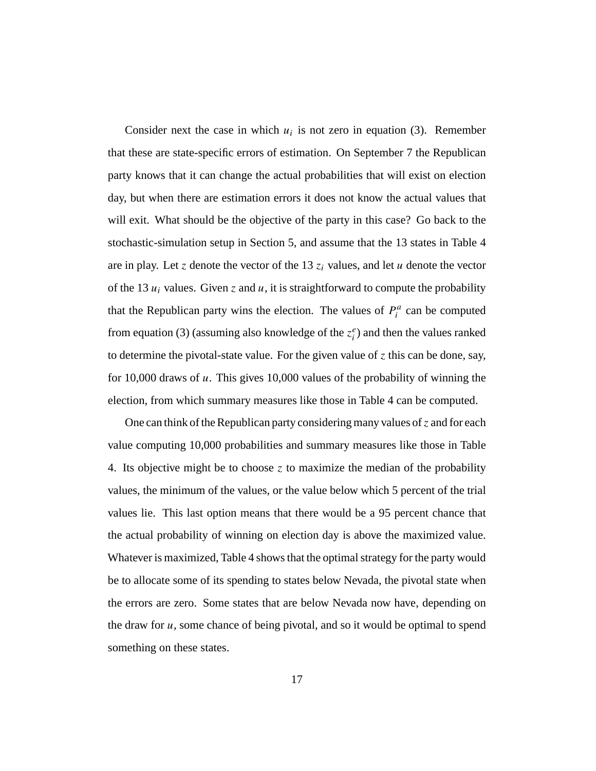Consider next the case in which  $u_i$  is not zero in equation (3). Remember that these are state-specific errors of estimation. On September 7 the Republican party knows that it can change the actual probabilities that will exist on election day, but when there are estimation errors it does not know the actual values that will exit. What should be the objective of the party in this case? Go back to the stochastic-simulation setup in Section 5, and assume that the 13 states in Table 4 are in play. Let z denote the vector of the 13  $z_i$  values, and let u denote the vector of the 13  $u_i$  values. Given z and  $u$ , it is straightforward to compute the probability that the Republican party wins the election. The values of  $P_i^a$  can be computed from equation (3) (assuming also knowledge of the  $z_i^e$ ) and then the values ranked to determine the pivotal-state value. For the given value of  $z$  this can be done, say, for 10,000 draws of u. This gives 10,000 values of the probability of winning the election, from which summary measures like those in Table 4 can be computed.

One can think of the Republican party considering many values of  $\zeta$  and for each value computing 10,000 probabilities and summary measures like those in Table 4. Its objective might be to choose z to maximize the median of the probability values, the minimum of the values, or the value below which 5 percent of the trial values lie. This last option means that there would be a 95 percent chance that the actual probability of winning on election day is above the maximized value. Whatever is maximized, Table 4 shows that the optimal strategy for the party would be to allocate some of its spending to states below Nevada, the pivotal state when the errors are zero. Some states that are below Nevada now have, depending on the draw for  $u$ , some chance of being pivotal, and so it would be optimal to spend something on these states.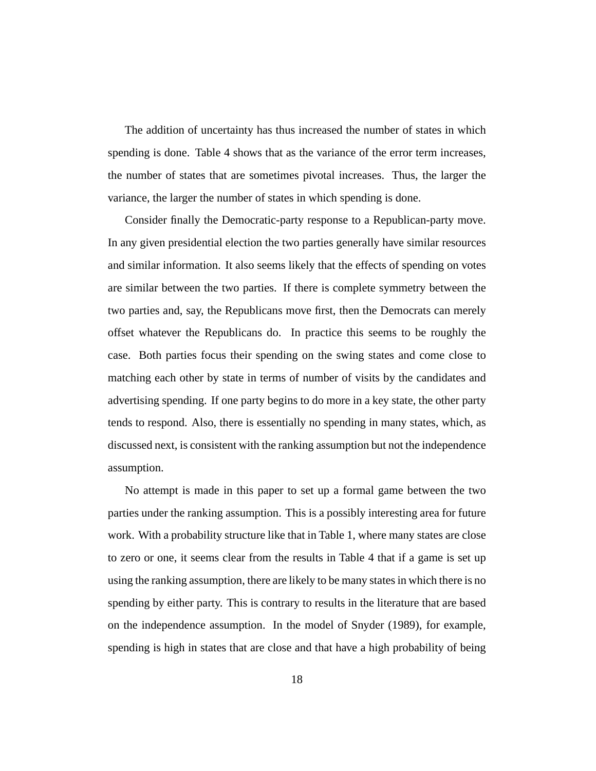The addition of uncertainty has thus increased the number of states in which spending is done. Table 4 shows that as the variance of the error term increases, the number of states that are sometimes pivotal increases. Thus, the larger the variance, the larger the number of states in which spending is done.

Consider finally the Democratic-party response to a Republican-party move. In any given presidential election the two parties generally have similar resources and similar information. It also seems likely that the effects of spending on votes are similar between the two parties. If there is complete symmetry between the two parties and, say, the Republicans move first, then the Democrats can merely offset whatever the Republicans do. In practice this seems to be roughly the case. Both parties focus their spending on the swing states and come close to matching each other by state in terms of number of visits by the candidates and advertising spending. If one party begins to do more in a key state, the other party tends to respond. Also, there is essentially no spending in many states, which, as discussed next, is consistent with the ranking assumption but not the independence assumption.

No attempt is made in this paper to set up a formal game between the two parties under the ranking assumption. This is a possibly interesting area for future work. With a probability structure like that in Table 1, where many states are close to zero or one, it seems clear from the results in Table 4 that if a game is set up using the ranking assumption, there are likely to be many states in which there is no spending by either party. This is contrary to results in the literature that are based on the independence assumption. In the model of Snyder (1989), for example, spending is high in states that are close and that have a high probability of being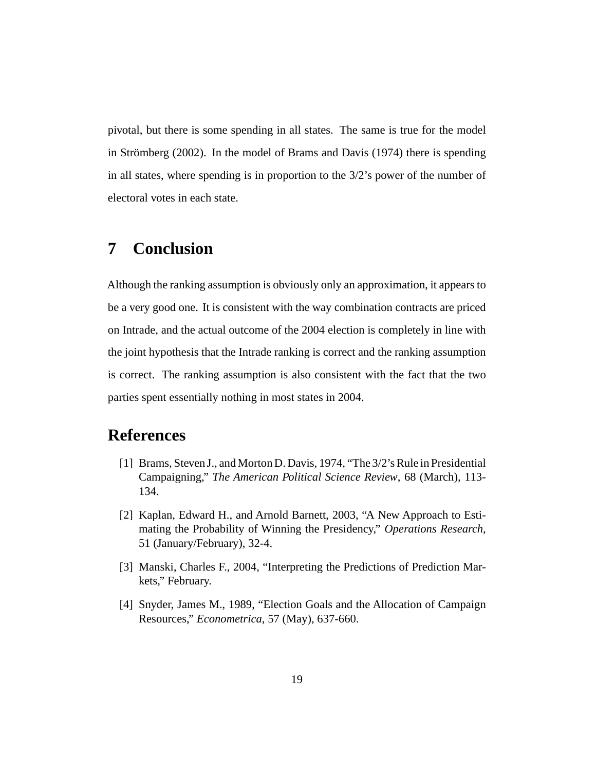pivotal, but there is some spending in all states. The same is true for the model in Strömberg (2002). In the model of Brams and Davis (1974) there is spending in all states, where spending is in proportion to the 3/2's power of the number of electoral votes in each state.

## **7 Conclusion**

Although the ranking assumption is obviously only an approximation, it appears to be a very good one. It is consistent with the way combination contracts are priced on Intrade, and the actual outcome of the 2004 election is completely in line with the joint hypothesis that the Intrade ranking is correct and the ranking assumption is correct. The ranking assumption is also consistent with the fact that the two parties spent essentially nothing in most states in 2004.

## **References**

- [1] Brams, Steven J., and Morton D. Davis, 1974, "The 3/2's Rule in Presidential Campaigning," *The American Political Science Review*, 68 (March), 113- 134.
- [2] Kaplan, Edward H., and Arnold Barnett, 2003, "A New Approach to Estimating the Probability of Winning the Presidency," *Operations Research*, 51 (January/February), 32-4.
- [3] Manski, Charles F., 2004, "Interpreting the Predictions of Prediction Markets," February.
- [4] Snyder, James M., 1989, "Election Goals and the Allocation of Campaign Resources," *Econometrica*, 57 (May), 637-660.